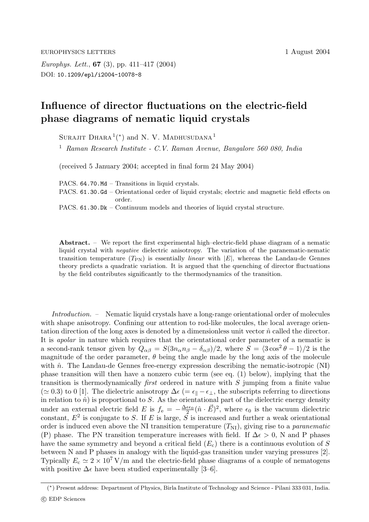*Europhys. Lett.*, **67** (3), pp. 411–417 (2004) DOI: 10.1209/epl/i2004-10078-8

## **Influence of director fluctuations on the electric-field phase diagrams of nematic liquid crystals**

SURAJIT DHARA<sup>1</sup>(\*) and N. V. MADHUSUDANA<sup>1</sup>

<sup>1</sup> *Raman Research Institute - C.V. Raman Avenue, Bangalore 560 080, India*

(received 5 January 2004; accepted in final form 24 May 2004)

PACS. 64.70.Md – Transitions in liquid crystals.

PACS. 61.30.Gd – Orientational order of liquid crystals; electric and magnetic field effects on order.

PACS. 61.30.Dk – Continuum models and theories of liquid crystal structure.

**Abstract.** – We report the first experimental high–electric-field phase diagram of a nematic liquid crystal with *negative* dielectric anisotropy. The variation of the paranematic-nematic transition temperature  $(T_{PN})$  is essentially *linear* with  $|E|$ , whereas the Landau-de Gennes theory predicts a quadratic variation. It is argued that the quenching of director fluctuations by the field contributes significantly to the thermodynamics of the transition.

*Introduction.* – Nematic liquid crystals have a long-range orientational order of molecules with shape anisotropy. Confining our attention to rod-like molecules, the local average orientation direction of the long axes is denoted by a dimensionless unit vector  $\hat{n}$  called the director. It is *apolar* in nature which requires that the orientational order parameter of a nematic is a second-rank tensor given by  $Q_{\alpha\beta} = S(3n_{\alpha}n_{\beta} - \delta_{\alpha\beta})/2$ , where  $S = \langle 3\cos^2\theta - 1 \rangle/2$  is the magnitude of the order parameter,  $\theta$  being the angle made by the long axis of the molecule with  $\hat{n}$ . The Landau-de Gennes free-energy expression describing the nematic-isotropic (NI) phase transition will then have a nonzero cubic term (see eq. (1) below), implying that the transition is thermodynamically *first* ordered in nature with S jumping from a finite value ( $\simeq 0.3$ ) to 0 [1]. The dielectric anisotropy  $\Delta \epsilon$  (=  $\epsilon_{\parallel}$  –  $\epsilon_{\perp}$ , the subscripts referring to directions in relation to  $\hat{n}$ ) is proportional to S. As the orientational part of the dielectric energy density under an external electric field E is  $f_e = -\frac{\Delta \epsilon \epsilon_0}{2} (\hat{n} \cdot \vec{E})^2$ , where  $\epsilon_0$  is the vacuum dielectric constant,  $E^2$  is conjugate to S. If E is large, S is increased and further a weak orientational order is induced even above the NI transition temperature  $(T_{\text{NI}})$ , giving rise to a *paranematic* (P) phase. The PN transition temperature increases with field. If  $\Delta \epsilon > 0$ , N and P phases have the same symmetry and beyond a critical field  $(E_c)$  there is a continuous evolution of S between N and P phases in analogy with the liquid-gas transition under varying pressures [2]. Typically  $E_c \simeq 2 \times 10^7$  V/m and the electric-field phase diagrams of a couple of nematogens with positive  $\Delta \epsilon$  have been studied experimentally [3–6].

<sup>(</sup>∗) Present address: Department of Physics, Birla Institute of Technology and Science - Pilani 333 031, India.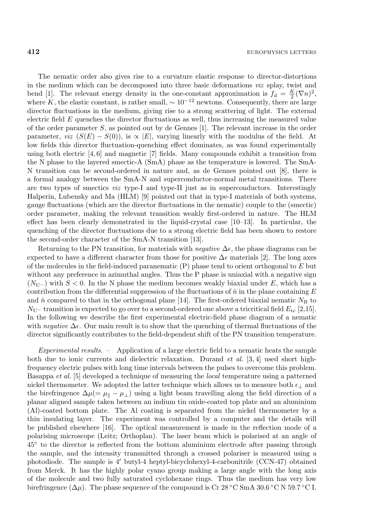The nematic order also gives rise to a curvature elastic response to director-distortions in the medium which can be decomposed into three basic deformations *viz* splay, twist and bend [1]. The relevant energy density in the one-constant approximation is  $f_d = \frac{K}{2} (\nabla n)^2$ , where K, the elastic constant, is rather small,  $\sim 10^{-12}$  newtons. Consequently, there are large director fluctuations in the medium, giving rise to a strong scattering of light. The external electric field  $E$  quenches the director fluctuations as well, thus increasing the measured value of the order parameter  $S$ , as pointed out by de Gennes [1]. The relevant increase in the order parameter, *viz*  $(S(E) - S(0))$ , is  $\propto |E|$ , varying linearly with the modulus of the field. At low fields this director fluctuation-quenching effect dominates, as was found experimentally using both electric  $[4, 6]$  and magnetic  $[7]$  fields. Many compounds exhibit a transition from the N phase to the layered smectic-A (SmA) phase as the temperature is lowered. The SmA-N transition can be second-ordered in nature and, as de Gennes pointed out [8], there is a formal analogy between the SmA-N and superconductor-normal metal transitions. There are two types of smectics *viz* type-I and type-II just as in superconductors. Interestingly Halperin, Lubensky and Ma (HLM) [9] pointed out that in type-I materials of both systems, gauge fluctuations (which are the director fluctuations in the nematic) couple to the (smectic) order parameter, making the relevant transition weakly first-ordered in nature. The HLM effect has been clearly demonstrated in the liquid-crystal case [10–13]. In particular, the quenching of the director fluctuations due to a strong electric field has been shown to restore the second-order character of the SmA-N transition [13].

Returning to the PN transition, for materials with *negative*  $\Delta \epsilon$ , the phase diagrams can be expected to have a different character from those for positive  $\Delta \epsilon$  materials [2]. The long axes of the molecules in the field-induced paranematic  $(P)$  phase tend to orient orthogonal to  $E$  but without any preference in azimuthal angles. Thus the P phase is uniaxial with a negative sign  $(N_{\text{U}-})$  with  $S < 0$ . In the N phase the medium becomes weakly biaxial under E, which has a contribution from the differential suppression of the fluctuations of  $\hat{n}$  in the plane containing E and  $\hat{n}$  compared to that in the orthogonal plane [14]. The first-ordered biaxial nematic  $N_{\rm B}$  to  $N_{\rm U}$ – transition is expected to go over to a second-ordered one above a tricritical field  $E_{\rm tc}$  [2,15]. In the following we describe the first experimental electric-field phase diagram of a nematic with *negative*  $\Delta \epsilon$ . Our main result is to show that the quenching of thermal fluctuations of the director significantly contributes to the field-dependent shift of the PN transition temperature.

*Experimental results. –* Application ofa large electric field to a nematic heats the sample both due to ionic currents and dielectric relaxation. Durand *et al.* [3, 4] used short highfrequency electric pulses with long time intervals between the pulses to overcome this problem. Basappa *et al.* [5] developed a technique of measuring the *local* temperature using a patterned nickel thermometer. We adopted the latter technique which allows us to measure both  $\epsilon_{\perp}$  and the birefringence  $\Delta \mu (= \mu_{\parallel} - \mu_{\perp})$  using a light beam travelling along the field direction of a planar aligned sample taken between an indium tin oxide-coated top plate and an aluminium (Al)-coated bottom plate. The Al coating is separated from the nickel thermometer by a thin insulating layer. The experiment was controlled by a computer and the details will be published elsewhere  $[16]$ . The optical measurement is made in the reflection mode of a polarising microscope (Leitz; Orthoplan). The laser beam which is polarised at an angle of 45◦ to the director is reflected from the bottom aluminium electrode after passing through the sample, and the intensity transmitted through a crossed polariser is measured using a photodiode. The sample is  $4'$  butyl-4 heptyl-bicyclohexyl-4-carbonitrile (CCN-47) obtained from Merck. It has the highly polar cyano group making a large angle with the long axis ofthe molecule and two fully saturated cyclohexane rings. Thus the medium has very low birefringence ( $\Delta \mu$ ). The phase sequence of the compound is Cr 28 °C SmA 30.6 °C N 59.7 °C I.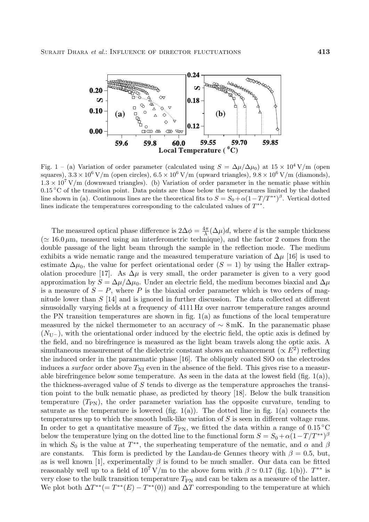

Fig. 1 – (a) Variation of order parameter (calculated using  $S = \frac{\Delta \mu}{\Delta \mu_0}$  at  $15 \times 10^4$  V/m (open squares),  $3.3 \times 10^6$  V/m (open circles),  $6.5 \times 10^6$  V/m (upward triangles),  $9.8 \times 10^6$  V/m (diamonds),  $1.3 \times 10^7$  V/m (downward triangles). (b) Variation of order parameter in the nematic phase within 0.15 ◦C of the transition point. Data points are those below the temperatures limited by the dashed line shown in (a). Continuous lines are the theoretical fits to  $S = S_0 + \alpha(1 - T/T^{**})^{\beta}$ . Vertical dotted lines indicate the temperatures corresponding to the calculated values of  $T^{**}$ .

The measured optical phase difference is  $2\Delta\phi = \frac{4\pi}{\lambda}(\Delta\mu)d$ , where d is the sample thickness  $\approx 16.0 \,\mu$ m, measured using an interferometric technique), and the factor 2 comes from the double passage of the light beam through the sample in the reflection mode. The medium exhibits a wide nematic range and the measured temperature variation of  $\Delta \mu$  [16] is used to estimate  $\Delta\mu_0$ , the value for perfect orientational order  $(S = 1)$  by using the Haller extrapolation procedure [17]. As  $\Delta \mu$  is very small, the order parameter is given to a very good approximation by  $S = \Delta \mu / \Delta \mu_0$ . Under an electric field, the medium becomes biaxial and  $\Delta \mu$ is a measure of  $S - P$ , where P is the biaxial order parameter which is two orders of magnitude lower than  $S$  [14] and is ignored in further discussion. The data collected at different sinusoidally varying fields at a frequency of 4111 Hz over narrow temperature ranges around the PN transition temperatures are shown in fig. 1(a) as functions of the local temperature measured by the nickel thermometer to an accuracy of  $\sim 8 \text{ mK}$ . In the paranematic phase  $(N_{\mathrm{U}-})$ , with the orientational order induced by the electric field, the optic axis is defined by the field, and no birefringence is measured as the light beam travels along the optic axis. A simultaneous measurement of the dielectric constant shows an enhancement ( $\propto E^2$ ) reflecting the induced order in the paranematic phase [16]. The obliquely coated SiO on the electrodes induces a *surface* order above  $T_{\text{NI}}$  even in the absence of the field. This gives rise to a measurable birefringence below some temperature. As seen in the data at the lowest field  $(fig. 1(a))$ , the thickness-averaged value of S tends to diverge as the temperature approaches the transition point to the bulk nematic phase, as predicted by theory [18]. Below the bulk transition temperature  $(T_{\rm PN})$ , the order parameter variation has the opposite curvature, tending to saturate as the temperature is lowered (fig.  $1(a)$ ). The dotted line in fig.  $1(a)$  connects the temperatures up to which the smooth bulk-like variation of S is seen in different voltage runs. In order to get a quantitative measure of  $T_{\rm PN}$ , we fitted the data within a range of 0.15 °C below the temperature lying on the dotted line to the functional form  $S = S_0 + \alpha (1-T/T^{**})^{\beta}$ in which  $S_0$  is the value at  $T^{**}$ , the superheating temperature of the nematic, and  $\alpha$  and  $\beta$ are constants. This form is predicted by the Landau-de Gennes theory with  $\beta = 0.5$ , but, as is well known [1], experimentally  $\beta$  is found to be much smaller. Our data can be fitted reasonably well up to a field of  $10^7$  V/m to the above form with  $\beta \simeq 0.17$  (fig. 1(b)).  $T^{**}$  is very close to the bulk transition temperature  $T_{\text{PN}}$  and can be taken as a measure of the latter. We plot both  $\Delta T^{**}(E) - T^{**}(0)$  and  $\Delta T$  corresponding to the temperature at which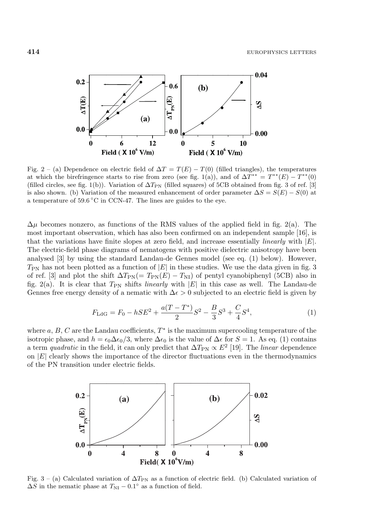

Fig. 2 – (a) Dependence on electric field of  $\Delta T = T(E) - T(0)$  (filled triangles), the temperatures at which the birefringence starts to rise from zero (see fig. 1(a)), and of  $\Delta T^{**} = T^{**}(E) - T^{**}(0)$ (filled circles, see fig. 1(b)). Variation of  $\Delta T_{\rm PN}$  (filled squares) of 5CB obtained from fig. 3 of ref. [3] is also shown. (b) Variation of the measured enhancement of order parameter  $\Delta S = S(E) - S(0)$  at a temperature of  $59.6\,^{\circ}\text{C}$  in CCN-47. The lines are guides to the eye.

 $\Delta \mu$  becomes nonzero, as functions of the RMS values of the applied field in fig. 2(a). The most important observation, which has also been confirmed on an independent sample [16], is that the variations have finite slopes at zero field, and increase essentially *linearly* with <sup>|</sup>E|. The electric-field phase diagrams of nematogens with positive dielectric anisotropy have been analysed [3] by using the standard Landau-de Gennes model (see eq. (1) below). However,  $T_{\rm PN}$  has not been plotted as a function of  $|E|$  in these studies. We use the data given in fig. 3 of ref. [3] and plot the shift  $\Delta T_{\rm PN}(E) - T_{\rm NI}$  of pentyl cyanobiphenyl (5CB) also in fig. 2(a). It is clear that  $T_{\text{PN}}$  shifts *linearly* with  $|E|$  in this case as well. The Landau-de Gennes free energy density of a nematic with  $\Delta \epsilon > 0$  subjected to an electric field is given by

$$
F_{\rm LdG} = F_0 - hSE^2 + \frac{a(T - T^*)}{2}S^2 - \frac{B}{3}S^3 + \frac{C}{4}S^4,\tag{1}
$$

where  $a, B, C$  are the Landau coefficients,  $T^*$  is the maximum supercooling temperature of the isotropic phase, and  $h = \epsilon_0 \Delta \epsilon_0/3$ , where  $\Delta \epsilon_0$  is the value of  $\Delta \epsilon$  for  $S = 1$ . As eq. (1) contains a term *quadratic* in the field, it can only predict that  $\Delta T_{\rm PN} \propto E^2$  [19]. The *linear* dependence on  $|E|$  clearly shows the importance of the director fluctuations even in the thermodynamics of the PN transition under electric fields.



Fig. 3 – (a) Calculated variation of  $\Delta T_{\rm PN}$  as a function of electric field. (b) Calculated variation of  $\Delta S$  in the nematic phase at  $T_{\text{NI}} - 0.1^{\circ}$  as a function of field.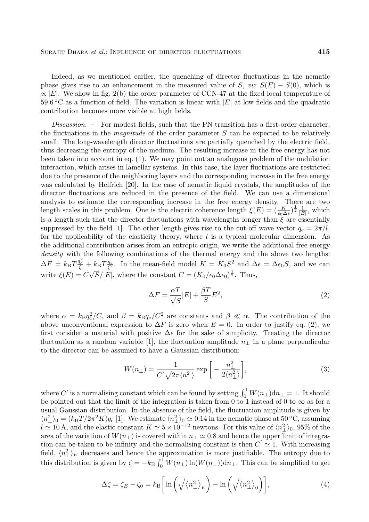Indeed, as we mentioned earlier, the quenching of director fluctuations in the nematic phase gives rise to an enhancement in the measured value of S, *viz*  $S(E) - S(0)$ , which is  $\propto$  E. We show in fig. 2(b) the order parameter of CCN-47 at the fixed local temperature of  $59.6\degree$ C as a function of field. The variation is linear with  $|E|$  at low fields and the quadratic contribution becomes more visible at high fields.

*Discussion. –* For modest fields, such that the PN transition has a first-order character, the fluctuations in the *magnitude* of the order parameter  $S$  can be expected to be relatively small. The long-wavelength director fluctuations are partially quenched by the electric field, thus decreasing the entropy of the medium. The resulting increase in the free energy has not been taken into account in eq.  $(1)$ . We may point out an analogous problem of the undulation interaction, which arises in lamellar systems. In this case, the layer fluctuations are restricted due to the presence of the neighboring layers and the corresponding increase in the free energy was calculated by Helfrich [20]. In the case of nematic liquid crystals, the amplitudes of the director fluctuations are reduced in the presence of the field. We can use a dimensional analysis to estimate the corresponding increase in the free energy density. There are two length scales in this problem. One is the electric coherence length  $\xi(E)=(\frac{K}{\epsilon_0\Delta\epsilon})^{\frac{1}{2}}\frac{1}{|E|}$ , which is a length such that the director fluctuations with wavelengths longer than  $\xi$  are essentially suppressed by the field [1]. The other length gives rise to the cut-off wave vector  $q_c = 2\pi/l$ , for the applicability of the elasticity theory, where  $l$  is a typical molecular dimension. As the additional contribution arises from an entropic origin, we write the additional free energy *density* with the following combinations of the thermal energy and the above two lengths:  $\Delta F = k_B T \frac{q_c^2}{\xi} + k_B T \frac{q_c}{\xi^2}$ . In the mean-field model  $K = K_0 S^2$  and  $\Delta \epsilon = \Delta \epsilon_0 S$ , and we can write  $\xi(E) = C\sqrt{S}/|\vec{E}|$ , where the constant  $C = (K_0/\epsilon_0\Delta\epsilon_0)^{\frac{1}{2}}$ . Thus,

$$
\Delta F = \frac{\alpha T}{\sqrt{S}} |E| + \frac{\beta T}{S} E^2,\tag{2}
$$

where  $\alpha = k_{\rm B} q_{\rm c}^2 / C$ , and  $\beta = k_{\rm B} q_{\rm c} / C^2$  are constants and  $\beta \ll \alpha$ . The contribution of the above unconventional expression to  $\Delta F$  is zero when  $E = 0$ . In order to justify eq. (2), we first consider a material with positive  $\Delta \epsilon$  for the sake of simplicity. Treating the director fluctuation as a random variable [1], the fluctuation amplitude  $n_{\perp}$  in a plane perpendicular to the director can be assumed to have a Gaussian distribution:

$$
W(n_{\perp}) = \frac{1}{C'\sqrt{2\pi \langle n_{\perp}^2 \rangle}} \exp\left[-\frac{n_{\perp}^2}{2\langle n_{\perp}^2 \rangle}\right],\tag{3}
$$

where  $C'$  is a normalising constant which can be found by setting  $\int_0^1 W(n_\perp)dn_\perp = 1$ . It should be pointed out that the limit of the integration is taken from 0 to 1 instead of 0 to  $\infty$  as for a usual Gaussian distribution. In the absence ofthe field, the fluctuation amplitude is given by  $\langle n_{\perp}^2 \rangle_0 = (k_{\rm B}T/2\pi^2 K)q_c$  [1]. We estimate  $\langle n_{\perp}^2 \rangle_0 \simeq 0.14$  in the nematic phase at 50 °C, assuming  $l \simeq 10 \text{ Å}$ , and the elastic constant  $K \simeq 5 \times 10^{-12}$  newtons. For this value of  $\langle n_{\perp}^2 \rangle_0$ , 95% of the area of the variation of  $W(n_1)$  is covered within  $n_1 \simeq 0.8$  and hence the upper limit of integration can be taken to be infinity and the normalising constant is then  $C' \simeq 1$ . With increasing field,  $\langle n_{\perp}^2 \rangle_E$  decreases and hence the approximation is more justifiable. The entropy due to this distribution is given by  $\zeta = -k_B \int_0^1 W(n_\perp) \ln(W(n_\perp))dn_\perp$ . This can be simplified to get

$$
\Delta \zeta = \zeta_E - \zeta_0 = k_\text{B} \bigg[ \ln \bigg( \sqrt{\langle n_\perp^2 \rangle_E} \bigg) - \ln \bigg( \sqrt{\langle n_\perp^2 \rangle_0} \bigg) \bigg],\tag{4}
$$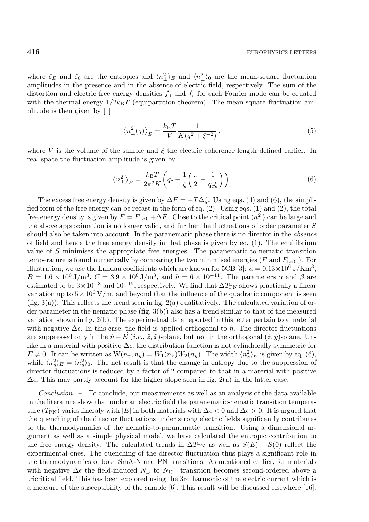where  $\zeta_E$  and  $\zeta_0$  are the entropies and  $\langle n_\perp^2 \rangle_E$  and  $\langle n_\perp^2 \rangle_0$  are the mean-square fluctuation amplitudes in the presence and in the absence of electric field, respectively. The sum of the distortion and electric free energy densities  $f_d$  and  $f_e$  for each Fourier mode can be equated with the thermal energy  $1/2k_BT$  (equipartition theorem). The mean-square fluctuation amplitude is then given by [1]

$$
\left\langle n_{\perp}^{2}(q)\right\rangle_{E} = \frac{k_{\mathrm{B}}T}{V} \frac{1}{K(q^{2} + \xi^{-2})},\tag{5}
$$

where V is the volume of the sample and  $\xi$  the electric coherence length defined earlier. In real space the fluctuation amplitude is given by

$$
\left\langle n_{\perp}^{2}\right\rangle_{E} = \frac{k_{\mathrm{B}}T}{2\pi^{2}K} \left(q_{\mathrm{c}} - \frac{1}{\xi}\left(\frac{\pi}{2} - \frac{1}{q_{\mathrm{c}}\xi}\right)\right). \tag{6}
$$

The excess free energy density is given by  $\Delta F = -T\Delta\zeta$ . Using eqs. (4) and (6), the simplified form of the free energy can be recast in the form of eq. (2). Using eqs. (1) and (2), the total free energy density is given by  $F = F_{\text{LdG}} + \Delta F$ . Close to the critical point  $\langle n_{\perp}^2 \rangle$  can be large and the above approximation is no longer valid, and further the fluctuations of order parameter S should also be taken into account. In the paranematic phase there is no director in the *absence* of field and hence the free energy density in that phase is given by eq.  $(1)$ . The equilibrium value of S minimises the appropriate free energies. The paranematic-to-nematic transition temperature is found numerically by comparing the two minimised energies ( $F$  and  $F<sub>LdG</sub>$ ). For illustration, we use the Landau coefficients which are known for 5CB [3]:  $a = 0.13 \times 10^6 \text{ J/Km}^3$ ,  $B = 1.6 \times 10^6 \text{ J/m}^3$ ,  $C = 3.9 \times 10^6 \text{ J/m}^3$ , and  $h = 6 \times 10^{-11}$ . The parameters  $\alpha$  and  $\beta$  are estimated to be  $3\times10^{-8}$  and  $10^{-15}$ , respectively. We find that  $\Delta T_{\rm PN}$  shows practically a linear variation up to  $5 \times 10^6$  V/m, and beyond that the influence of the quadratic component is seen (fig. 3(a)). This reflects the trend seen in fig.  $2(a)$  qualitatively. The calculated variation of order parameter in the nematic phase  $(fig. 3(b))$  also has a trend similar to that of the measured variation shown in fig. 2(b). The experimetnal data reported in this letter pertain to a material with negative  $\Delta \epsilon$ . In this case, the field is applied orthogonal to  $\hat{n}$ . The director fluctuations are suppressed only in the  $\hat{n} - \vec{E}$  (*i.e.*,  $\hat{z}$ ,  $\hat{x}$ )-plane, but not in the orthogonal  $(\hat{z}, \hat{y})$ -plane. Unlike in a material with positive  $\Delta \epsilon$ , the distribution function is not cylindrically symmetric for  $E \neq 0$ . It can be written as  $W(n_x, n_y) = W_1(n_x)W_2(n_y)$ . The width  $\langle n_x^2 \rangle_E$  is given by eq. (6), while  $\langle n_y^2 \rangle_E = \langle n_y^2 \rangle_0$ . The net result is that the change in entropy due to the suppression of director fluctuations is reduced by a factor of 2 compared to that in a material with positive  $\Delta \epsilon$ . This may partly account for the higher slope seen in fig. 2(a) in the latter case.

*Conclusion.* – To conclude, our measurements as well as an analysis of the data available in the literature show that under an electric field the paranematic-nematic transition temperature (T<sub>PN</sub>) varies lineraly with |E| in both materials with  $\Delta \epsilon < 0$  and  $\Delta \epsilon > 0$ . It is argued that the quenching of the director fluctuations under strong electric fields significantly contributes to the thermodynamics of the nematic-to-paranematic transition. Using a dimensional argument as well as a simple physical model, we have calculated the entropic contribution to the free energy density. The calculated trends in  $\Delta T_{\rm PN}$  as well as  $S(E) - S(0)$  reflect the experimental ones. The quenching of the director fluctuation thus plays a significant role in the thermodynamics of both SmA-N and PN transitions. As mentioned earlier, for materials with negative  $\Delta \epsilon$  the field-induced N<sub>B</sub> to N<sub>U</sub>- transition becomes second-ordered above a tricritical field. This has been explored using the 3rd harmonic ofthe electric current which is a measure of the susceptibility of the sample  $[6]$ . This result will be discussed elsewhere  $[16]$ .